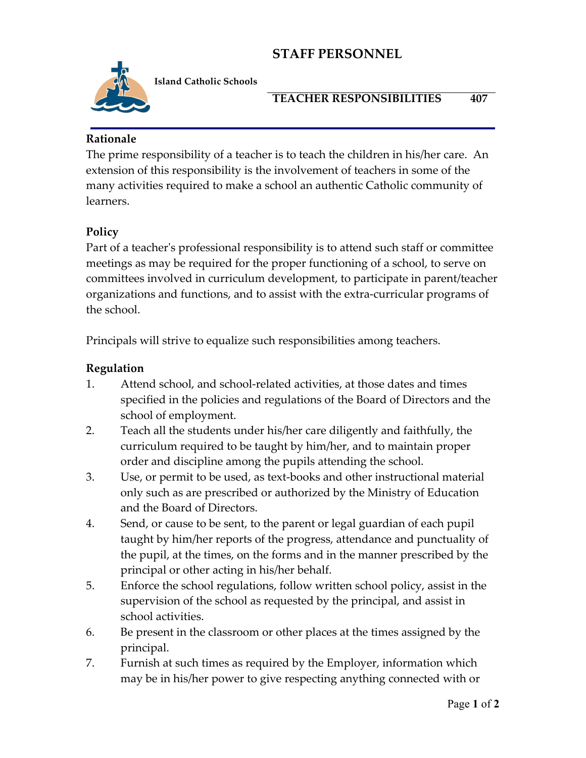# **STAFF PERSONNEL**



**Island Catholic Schools** 

#### **TEACHER RESPONSIBILITIES 407**

#### **Rationale**

The prime responsibility of a teacher is to teach the children in his/her care. An extension of this responsibility is the involvement of teachers in some of the many activities required to make a school an authentic Catholic community of learners.

### **Policy**

Part of a teacher's professional responsibility is to attend such staff or committee meetings as may be required for the proper functioning of a school, to serve on committees involved in curriculum development, to participate in parent/teacher organizations and functions, and to assist with the extra-curricular programs of the school.

Principals will strive to equalize such responsibilities among teachers.

### **Regulation**

- 1. Attend school, and school-related activities, at those dates and times specified in the policies and regulations of the Board of Directors and the school of employment.
- 2. Teach all the students under his/her care diligently and faithfully, the curriculum required to be taught by him/her, and to maintain proper order and discipline among the pupils attending the school.
- 3. Use, or permit to be used, as text-books and other instructional material only such as are prescribed or authorized by the Ministry of Education and the Board of Directors.
- 4. Send, or cause to be sent, to the parent or legal guardian of each pupil taught by him/her reports of the progress, attendance and punctuality of the pupil, at the times, on the forms and in the manner prescribed by the principal or other acting in his/her behalf.
- 5. Enforce the school regulations, follow written school policy, assist in the supervision of the school as requested by the principal, and assist in school activities.
- 6. Be present in the classroom or other places at the times assigned by the principal.
- 7. Furnish at such times as required by the Employer, information which may be in his/her power to give respecting anything connected with or